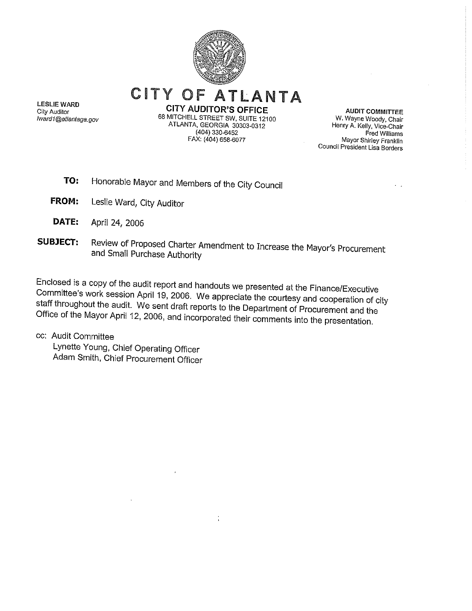

**LESLIE WARD City Auditor** Iward1@atlantaga.gov

68 MITCHELL STREET SW, SUITE 12100 ATLANTA, GEORGIA 30303-0312 (404) 330-6452 FAX: (404) 658-6077

**AUDIT COMMITTEE** W. Wayne Woody, Chair Henry A. Kelly, Vice-Chair Fred Williams Mayor Shirley Franklin Council President Lisa Borders

 $\ddot{\phantom{0}}$ 

- TO: Honorable Mayor and Members of the City Council
- **FROM:** Leslie Ward, City Auditor
- DATE: April 24, 2006
- Review of Proposed Charter Amendment to Increase the Mayor's Procurement **SUBJECT:** and Small Purchase Authority

Enclosed is a copy of the audit report and handouts we presented at the Finance/Executive Committee's work session April 19, 2006. We appreciate the courtesy and cooperation of city staff throughout the audit. We sent draft reports to the Department of Procurement and the Office of the Mayor April 12, 2006, and incorporated their comments into the presentation.

 $\frac{1}{2}$ 

cc: Audit Committee Lynette Young, Chief Operating Officer Adam Smith, Chief Procurement Officer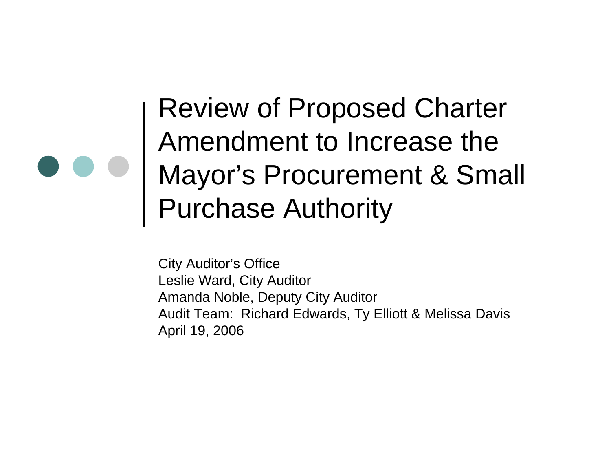## Review of Proposed Charter Amendment to Increase the Mayor's Procurement & Small Purchase Authority

City Auditor's Office Leslie Ward, City Auditor Amanda Noble, Deputy City Auditor Audit Team: Richard Edwards, Ty Elliott & Melissa Davis April 19, 2006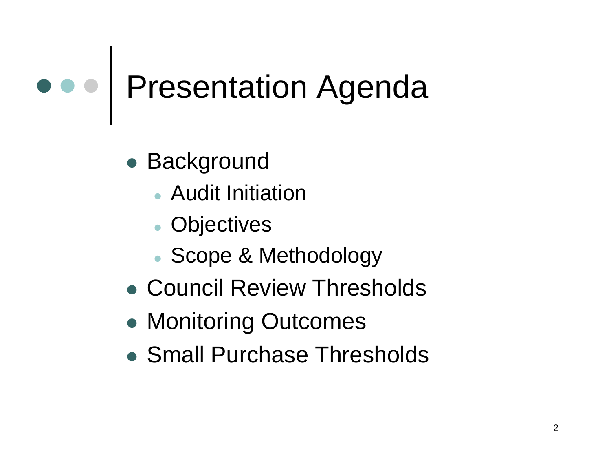# Presentation Agenda

- Background
	- Audit Initiation
	- Objectives
	- Scope & Methodology
- Council Review Thresholds
- $\bullet$ Monitoring Outcomes
- Small Purchase Thresholds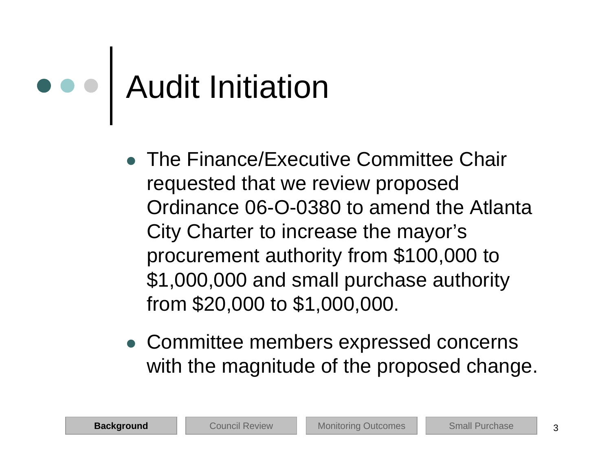# Audit Initiation

- The Finance/Executive Committee Chair requested that we review proposed Ordinance 06-O-0380 to amend the Atlanta City Charter to increase the mayor's procurement authority from \$100,000 to \$1,000,000 and small purchase authority from \$20,000 to \$1,000,000.
- Committee members expressed concerns with the magnitude of the proposed change.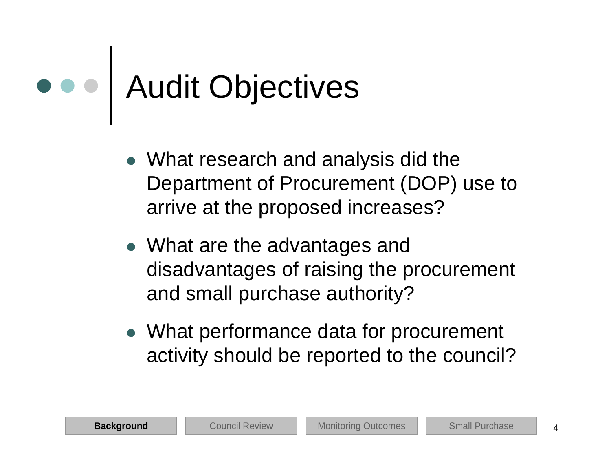# Audit Objectives

- What research and analysis did the Department of Procurement (DOP) use to arrive at the proposed increases?
- What are the advantages and disadvantages of raising the procurement and small purchase authority?
- What performance data for procurement activity should be reported to the council?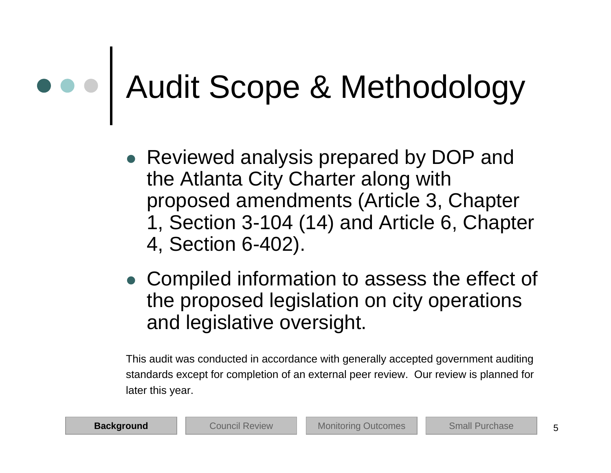# Audit Scope & Methodology

- Reviewed analysis prepared by DOP and the Atlanta City Charter along with proposed amendments (Article 3, Chapter 1, Section 3-104 (14) and Article 6, Chapter 4, Section 6-402).
- Compiled information to assess the effect of the proposed legislation on city operations and legislative oversight.

This audit was conducted in accordance with generally accepted government auditing standards except for completion of an external peer review. Our review is planned for later this year.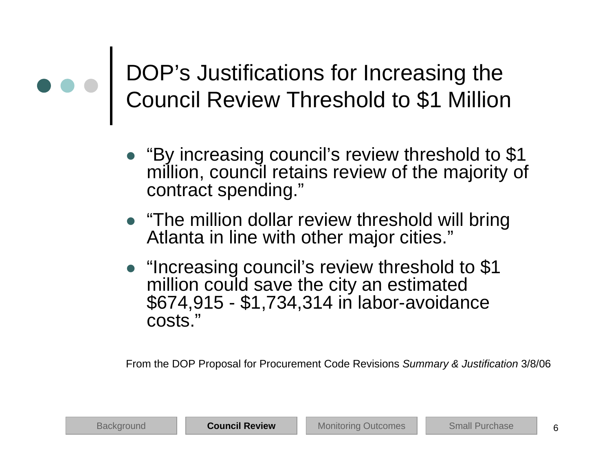DOP's Justifications for Increasing the Council Review Threshold to \$1 Million

- "By increasing council's review threshold to \$1 million, council retains review of the majority of contract spending."
- $\bullet$  "The million dollar review threshold will bring Atlanta in line with other major cities."
- "Increasing council's review threshold to \$1 million could save the city an estimated<br>\$674,915 - \$1,734,314 in labor-avoidance costs."

From the DOP Proposal for Procurement Code Revisions *Summary & Justification* 3/8/06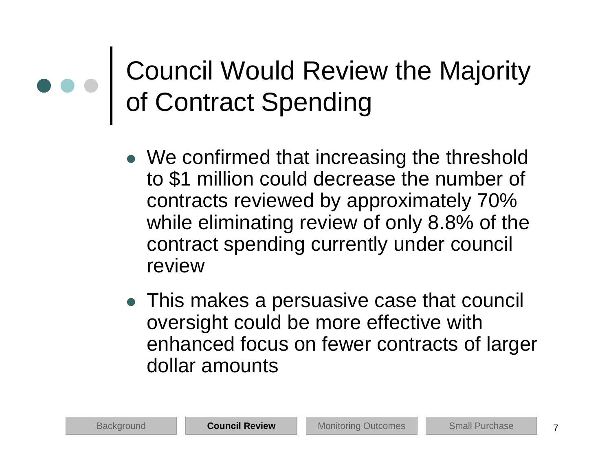## Council Would Review the Majority of Contract Spending

- We confirmed that increasing the threshold to \$1 million could decrease the number of contracts reviewed by approximately 70% while eliminating review of only 8.8% of the contract spending currently under council review
- $\bullet$  This makes a persuasive case that council oversight could be more effective with enhanced focus on fewer contracts of larger dollar amounts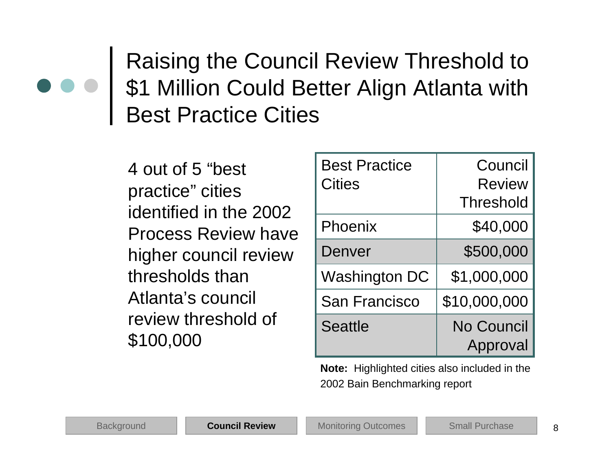### Raising the Council Review Threshold to \$1 Million Could Better Align Atlanta with Best Practice Cities

4 out of 5 "best practice" cities identified in the 2002 Process Review have higher council review thresholds than Atlanta's council review threshold of \$100,000

| <b>Best Practice</b><br><b>Cities</b> | Council<br><b>Review</b> |
|---------------------------------------|--------------------------|
|                                       | Threshold                |
| Phoenix                               | \$40,000                 |
| Denver                                | \$500,000                |
| <b>Washington DC</b>                  | \$1,000,000              |
| <b>San Francisco</b>                  | \$10,000,000             |
| <b>Seattle</b>                        | <b>No Council</b>        |
|                                       | Approval                 |

**Note:** Highlighted cities also included in the 2002 Bain Benchmarking report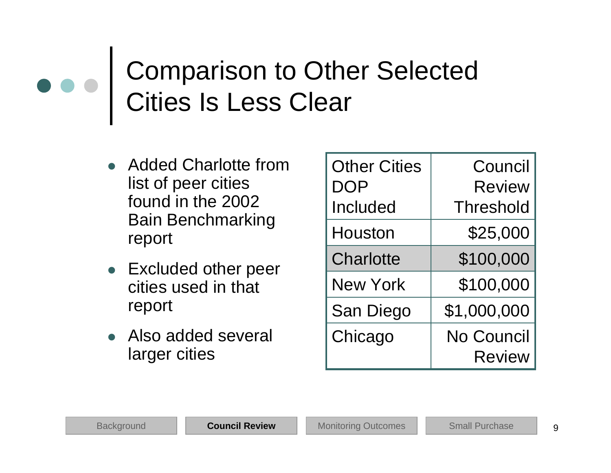## Comparison to Other Selected Cities Is Less Clear

- Added Charlotte from list of peer cities found in the 2002 Bain Benchmarking report
- $\bullet$  Excluded other peer cities used in that report
- Also added several larger cities

| <b>Other Cities</b><br><b>DOP</b> | Council<br><b>Review</b>    |
|-----------------------------------|-----------------------------|
| Included                          | <b>Threshold</b>            |
| Houston                           | \$25,000                    |
| <b>Charlotte</b>                  | \$100,000                   |
| <b>New York</b>                   | \$100,000                   |
| San Diego                         | \$1,000,000                 |
| Chicago                           | No Council<br><b>Review</b> |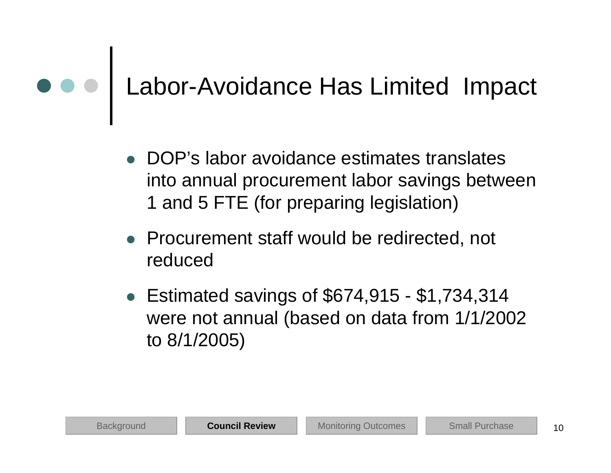## Labor-Avoidance Has Limited Impact

- DOP's labor avoidance estimates translates into annual procurement labor savings between 1 and 5 FTE (for preparing legislation)
- Procurement staff would be redirected, not reduced
- Estimated savings of  $$674,915 $1,734,314$ were not annual (based on data from 1/1/2002 to 8/1/2005)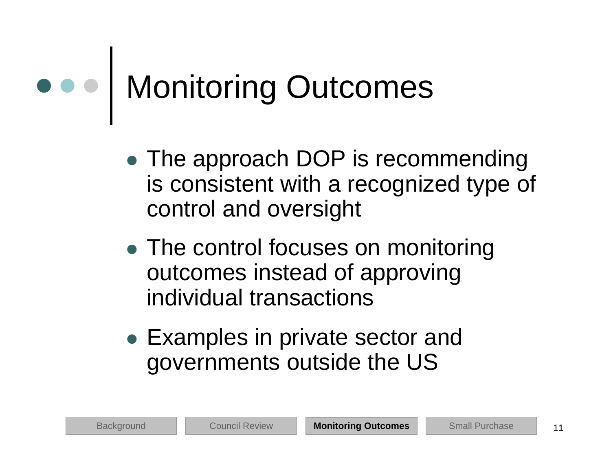## Monitoring Outcomes

- $\bullet$ • The approach DOP is recommending is consistent with a recognized type of control and oversight
- The control focuses on monitoring outcomes instead of approving individual transactions
- Examples in private sector and governments outside the US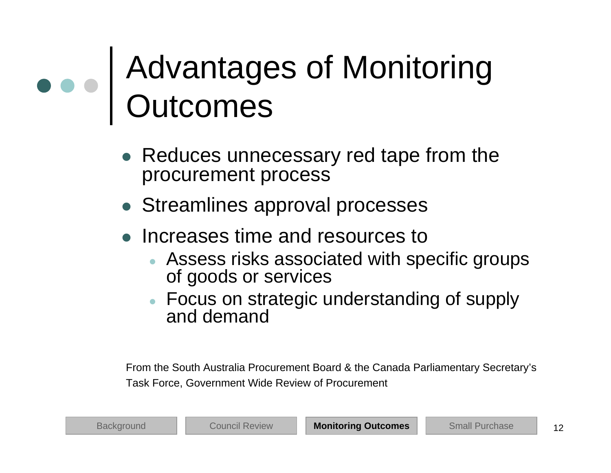## Advantages of Monitoring Outcomes

- $\bullet$  Reduces unnecessary red tape from the procurement process
- Streamlines approval processes
- $\bullet$  Increases time and resources to
	- Assess risks associated with specific groups of goods or services
	- Focus on strategic understanding of supply and demand

From the South Australia Procurement Board & the Canada Parliamentary Secretary's Task Force, Government Wide Review of Procurement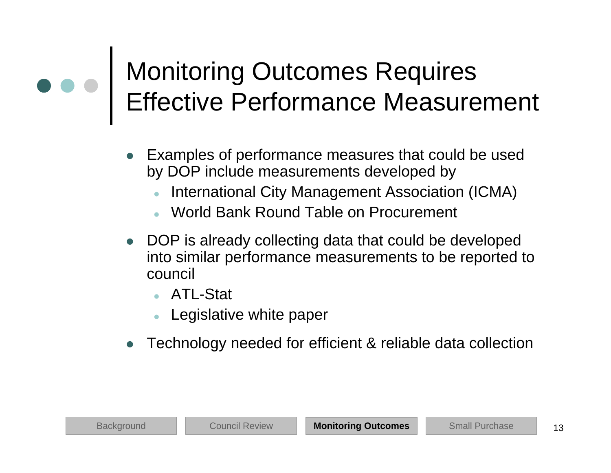### Monitoring Outcomes Requires Effective Performance Measurement

- $\bullet$  Examples of performance measures that could be used by DOP include measurements developed by
	- zInternational City Management Association (ICMA)
	- zWorld Bank Round Table on Procurement
- DOP is already collecting data that could be developed into similar performance measurements to be reported to council
	- ATL-Stat
	- zLegislative white paper
- $\bullet$ Technology needed for efficient & reliable data collection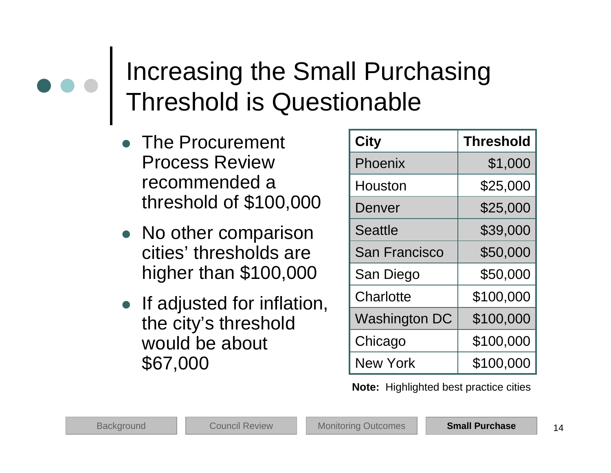### Increasing the Small Purchasing Threshold is Questionable

- $\bullet$  The Procurement Process Review recommended a threshold of \$100,000
- No other comparison cities' thresholds are higher than \$100,000
- $\bullet$  If adjusted for inflation, the city's threshold would be about \$67,000

| <b>City</b>          | <b>Threshold</b> |
|----------------------|------------------|
| Phoenix              | \$1,000          |
| Houston              | \$25,000         |
| <b>Denver</b>        | \$25,000         |
| <b>Seattle</b>       | \$39,000         |
| <b>San Francisco</b> | \$50,000         |
| San Diego            | \$50,000         |
| Charlotte            | \$100,000        |
| <b>Washington DC</b> | \$100,000        |
| Chicago              | \$100,000        |
| <b>New York</b>      | \$100,000        |

**Note:** Highlighted best practice cities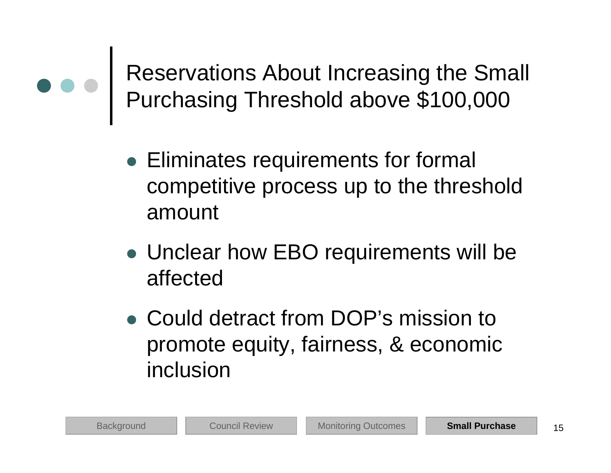Reservations About Increasing the Small Purchasing Threshold above \$100,000

- Eliminates requirements for formal competitive process up to the threshold amount
- Unclear how EBO requirements will be affected
- Could detract from DOP's mission to promote equity, fairness, & economic inclusion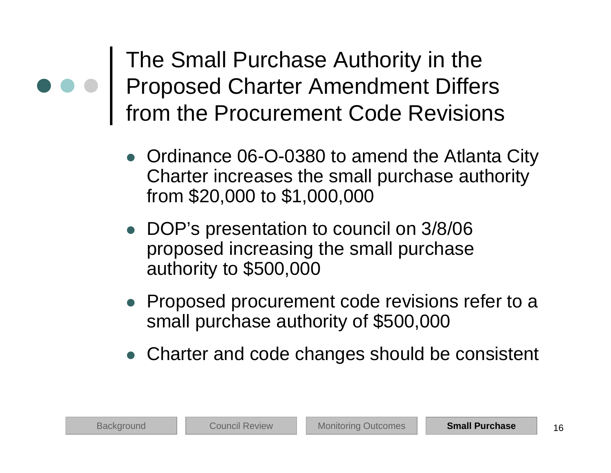The Small Purchase Authority in the Proposed Charter Amendment Differs from the Procurement Code Revisions

- Ordinance 06-O-0380 to amend the Atlanta City Charter increases the small purchase authority from \$20,000 to \$1,000,000
- DOP's presentation to council on 3/8/06 proposed increasing the small purchase authority to \$500,000
- Proposed procurement code revisions refer to a small purchase authority of \$500,000
- Charter and code changes should be consistent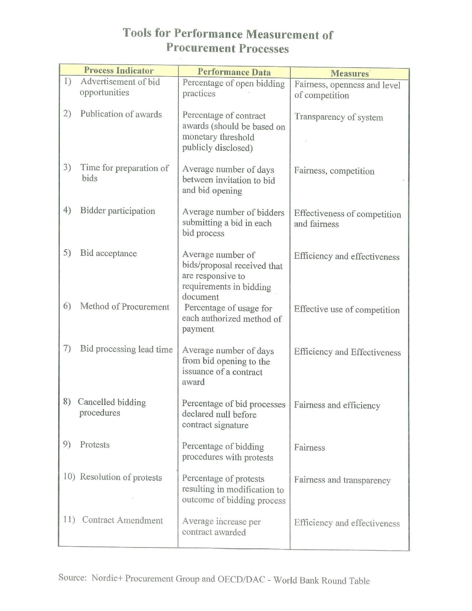#### **Tools for Performance Measurement of Procurement Processes**

|     | <b>Process Indicator</b>        | <b>Performance Data</b>                                                                                      | <b>Measures</b>                              |
|-----|---------------------------------|--------------------------------------------------------------------------------------------------------------|----------------------------------------------|
| 1)  | Advertisement of bid            | Percentage of open bidding                                                                                   | Fairness, openness and level                 |
|     | opportunities                   | practices                                                                                                    | of competition                               |
| 2)  | Publication of awards           | Percentage of contract<br>awards (should be based on<br>monetary threshold<br>publicly disclosed)            | Transparency of system                       |
| 3)  | Time for preparation of<br>bids | Average number of days<br>between invitation to bid<br>and bid opening                                       | Fairness, competition                        |
| 4)  | <b>Bidder participation</b>     | Average number of bidders<br>submitting a bid in each<br>bid process                                         | Effectiveness of competition<br>and fairness |
| 5)  | Bid acceptance                  | Average number of<br>bids/proposal received that<br>are responsive to<br>requirements in bidding<br>document | Efficiency and effectiveness                 |
| 6)  | Method of Procurement           | Percentage of usage for<br>each authorized method of<br>payment                                              | Effective use of competition                 |
| 7)  | Bid processing lead time        | Average number of days<br>from bid opening to the<br>issuance of a contract<br>award                         | <b>Efficiency and Effectiveness</b>          |
| 8)  | Cancelled bidding<br>procedures | Percentage of bid processes<br>declared null before<br>contract signature                                    | Fairness and efficiency                      |
| 9)  | Protests                        | Percentage of bidding<br>procedures with protests                                                            | Fairness                                     |
|     | 10) Resolution of protests      | Percentage of protests<br>resulting in modification to<br>outcome of bidding process                         | Fairness and transparency                    |
| 11) | <b>Contract Amendment</b>       | Average increase per<br>contract awarded                                                                     | Efficiency and effectiveness                 |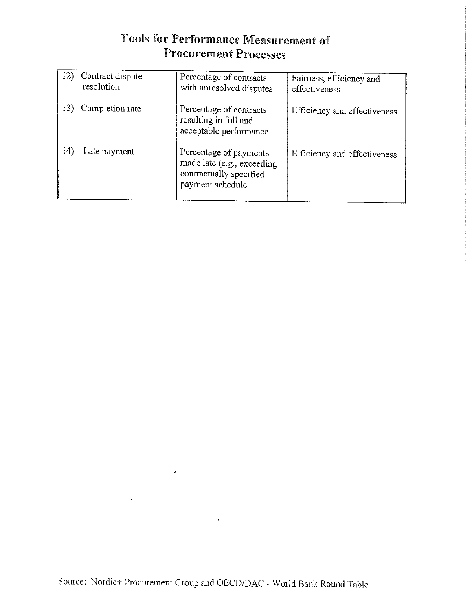#### **Tools for Performance Measurement of Procurement Processes**

| 12) | Contract dispute<br>resolution | Percentage of contracts<br>with unresolved disputes                                                 | Fairness, efficiency and<br>effectiveness |
|-----|--------------------------------|-----------------------------------------------------------------------------------------------------|-------------------------------------------|
| 13) | Completion rate                | Percentage of contracts<br>resulting in full and<br>acceptable performance                          | Efficiency and effectiveness              |
| 14) | Late payment                   | Percentage of payments<br>made late (e.g., exceeding<br>contractually specified<br>payment schedule | Efficiency and effectiveness              |

 $\label{eq:2.1} \frac{1}{\sqrt{2}}\sum_{i=1}^N\frac{1}{\sqrt{2}}\sum_{i=1}^N\frac{1}{\sqrt{2}}\sum_{i=1}^N\frac{1}{\sqrt{2}}\sum_{i=1}^N\frac{1}{\sqrt{2}}\sum_{i=1}^N\frac{1}{\sqrt{2}}\sum_{i=1}^N\frac{1}{\sqrt{2}}\sum_{i=1}^N\frac{1}{\sqrt{2}}\sum_{i=1}^N\frac{1}{\sqrt{2}}\sum_{i=1}^N\frac{1}{\sqrt{2}}\sum_{i=1}^N\frac{1}{\sqrt{2}}\sum_{i=1}^N\frac$ 

 $\mathcal{L}^{\text{max}}_{\text{max}}$ 

 $\sim$   $\sim$